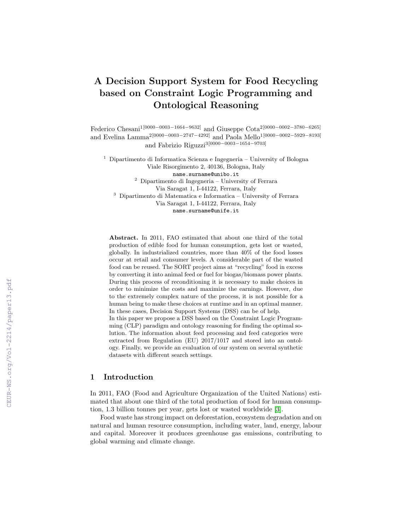# A Decision Support System for Food Recycling based on Constraint Logic Programming and Ontological Reasoning

Federico Chesani1[0000−0003−1664−9632] and Giuseppe Cota2[0000−0002−3780−6265] and Evelina Lamma2[0000−0003−2747−4292] and Paola Mello1[0000−0002−5929−8193] and Fabrizio Riguzzi3[0000−0003−1654−9703]

<sup>1</sup> Dipartimento di Informatica Scienza e Ingegneria – University of Bologna Viale Risorgimento 2, 40136, Bologna, Italy name.surname@unibo.it  $2$  Dipartimento di Ingegneria – University of Ferrara Via Saragat 1, I-44122, Ferrara, Italy <sup>3</sup> Dipartimento di Matematica e Informatica – University of Ferrara Via Saragat 1, I-44122, Ferrara, Italy name.surname@unife.it

Abstract. In 2011, FAO estimated that about one third of the total production of edible food for human consumption, gets lost or wasted, globally. In industrialized countries, more than 40% of the food losses occur at retail and consumer levels. A considerable part of the wasted food can be reused. The SORT project aims at "recycling" food in excess by converting it into animal feed or fuel for biogas/biomass power plants. During this process of reconditioning it is necessary to make choices in order to minimize the costs and maximize the earnings. However, due to the extremely complex nature of the process, it is not possible for a human being to make these choices at runtime and in an optimal manner. In these cases, Decision Support Systems (DSS) can be of help. In this paper we propose a DSS based on the Constraint Logic Programming (CLP) paradigm and ontology reasoning for finding the optimal solution. The information about feed processing and feed categories were extracted from Regulation (EU) 2017/1017 and stored into an ontology. Finally, we provide an evaluation of our system on several synthetic datasets with different search settings.

## 1 Introduction

In 2011, FAO (Food and Agriculture Organization of the United Nations) estimated that about one third of the total production of food for human consumption, 1.3 billion tonnes per year, gets lost or wasted worldwide [\[3\]](#page--1-0).

Food waste has strong impact on deforestation, ecosystem degradation and on natural and human resource consumption, including water, land, energy, labour and capital. Moreover it produces greenhouse gas emissions, contributing to global warming and climate change.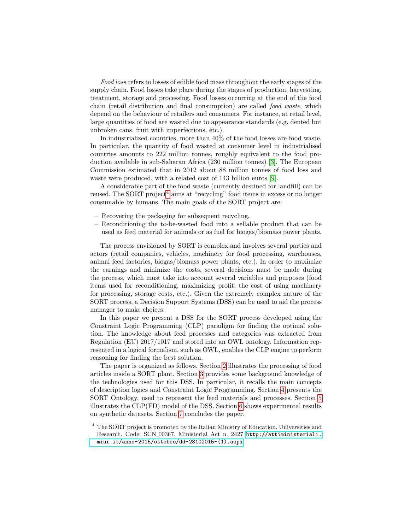Food loss refers to losses of edible food mass throughout the early stages of the supply chain. Food losses take place during the stages of production, harvesting, treatment, storage and processing. Food losses occurring at the end of the food chain (retail distribution and final consumption) are called food waste, which depend on the behaviour of retailers and consumers. For instance, at retail level, large quantities of food are wasted due to appearance standards (e.g. dented but unbroken cans, fruit with imperfections, etc.).

In industrialized countries, more than 40% of the food losses are food waste. In particular, the quantity of food wasted at consumer level in industrialised countries amounts to 222 million tonnes, roughly equivalent to the food production available in sub-Saharan Africa (230 million tonnes) [\[3\]](#page-14-0). The European Commission estimated that in 2012 about 88 million tonnes of food loss and waste were produced, with a related cost of 143 billion euros [\[9\]](#page-14-1).

A considerable part of the food waste (currently destined for landfill) can be reused. The SORT project<sup>[4](#page-1-0)</sup> aims at "recycling" food items in excess or no longer consumable by humans. The main goals of the SORT project are:

- Recovering the packaging for subsequent recycling.
- Reconditioning the to-be-wasted food into a sellable product that can be used as feed material for animals or as fuel for biogas/biomass power plants.

The process envisioned by SORT is complex and involves several parties and actors (retail companies, vehicles, machinery for food processing, warehouses, animal feed factories, biogas/biomass power plants, etc.). In order to maximize the earnings and minimize the costs, several decisions must be made during the process, which must take into account several variables and purposes (food items used for reconditioning, maximizing profit, the cost of using machinery for processing, storage costs, etc.). Given the extremely complex nature of the SORT process, a Decision Support Systems (DSS) can be used to aid the process manager to make choices.

In this paper we present a DSS for the SORT process developed using the Constraint Logic Programming (CLP) paradigm for finding the optimal solution. The knowledge about feed processes and categories was extracted from Regulation (EU) 2017/1017 and stored into an OWL ontology. Information represented in a logical formalism, such as OWL, enables the CLP engine to perform reasoning for finding the best solution.

The paper is organized as follows. Section [2](#page-2-0) illustrates the processing of food articles inside a SORT plant. Section [3](#page-3-0) provides some background knowledge of the technologies used for this DSS. In particular, it recalls the main concepts of description logics and Constraint Logic Programming. Section [4](#page-5-0) presents the SORT Ontology, used to represent the feed materials and processes. Section [5](#page-6-0) illustrates the CLP(FD) model of the DSS. Section [6](#page-11-0) shows experimental results on synthetic datasets. Section [7](#page-13-0) concludes the paper.

<span id="page-1-0"></span><sup>4</sup> The SORT project is promoted by the Italian Ministry of Education, Universities and Research. Code: SCN 00367, Ministerial Act n. 2427 [http://attiministeriali.](http://attiministeriali.miur.it/anno-2015/ottobre/dd-28102015-(1).aspx) [miur.it/anno-2015/ottobre/dd-28102015-\(1\).aspx](http://attiministeriali.miur.it/anno-2015/ottobre/dd-28102015-(1).aspx).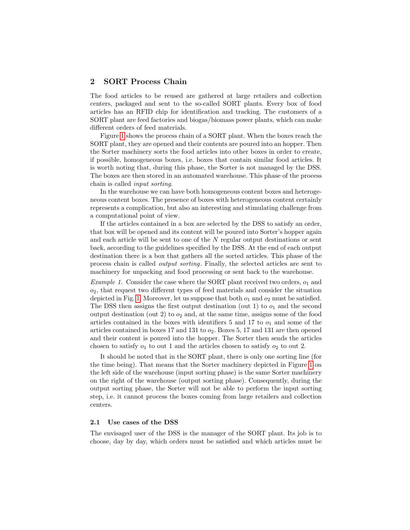# <span id="page-2-0"></span>2 SORT Process Chain

The food articles to be reused are gathered at large retailers and collection centers, packaged and sent to the so-called SORT plants. Every box of food articles has an RFID chip for identification and tracking. The customers of a SORT plant are feed factories and biogas/biomass power plants, which can make different orders of feed materials.

Figure [1](#page-3-1) shows the process chain of a SORT plant. When the boxes reach the SORT plant, they are opened and their contents are poured into an hopper. Then the Sorter machinery sorts the food articles into other boxes in order to create, if possible, homogeneous boxes, i.e. boxes that contain similar food articles. It is worth noting that, during this phase, the Sorter is not managed by the DSS. The boxes are then stored in an automated warehouse. This phase of the process chain is called input sorting.

In the warehouse we can have both homogeneous content boxes and heterogeneous content boxes. The presence of boxes with heterogeneous content certainly represents a complication, but also an interesting and stimulating challenge from a computational point of view.

If the articles contained in a box are selected by the DSS to satisfy an order, that box will be opened and its content will be poured into Sorter's hopper again and each article will be sent to one of the N regular output destinations or sent back, according to the guidelines specified by the DSS. At the end of each output destination there is a box that gathers all the sorted articles. This phase of the process chain is called output sorting. Finally, the selected articles are sent to machinery for unpacking and food processing or sent back to the warehouse.

*Example 1.* Consider the case where the SORT plant received two orders,  $o_1$  and  $o_2$ , that request two different types of feed materials and consider the situation depicted in Fig. [1.](#page-3-1) Moreover, let us suppose that both  $o_1$  and  $o_2$  must be satisfied. The DSS then assigns the first output destination (out 1) to  $o_1$  and the second output destination (out 2) to  $o_2$  and, at the same time, assigns some of the food articles contained in the boxes with identifiers 5 and 17 to  $o_1$  and some of the articles contained in boxes 17 and 131 to  $o_2$ . Boxes 5, 17 and 131 are then opened and their content is poured into the hopper. The Sorter then sends the articles chosen to satisfy  $o_1$  to out 1 and the articles chosen to satisfy  $o_2$  to out 2.

It should be noted that in the SORT plant, there is only one sorting line (for the time being). That means that the Sorter machinery depicted in Figure [1](#page-3-1) on the left side of the warehouse (input sorting phase) is the same Sorter machinery on the right of the warehouse (output sorting phase). Consequently, during the output sorting phase, the Sorter will not be able to perform the input sorting step, i.e. it cannot process the boxes coming from large retailers and collection centers.

#### 2.1 Use cases of the DSS

The envisaged user of the DSS is the manager of the SORT plant. Its job is to choose, day by day, which orders must be satisfied and which articles must be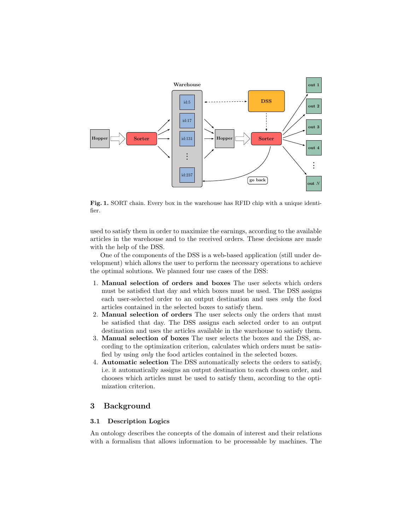

<span id="page-3-1"></span>Fig. 1. SORT chain. Every box in the warehouse has RFID chip with a unique identifier.

used to satisfy them in order to maximize the earnings, according to the available articles in the warehouse and to the received orders. These decisions are made with the help of the DSS.

One of the components of the DSS is a web-based application (still under development) which allows the user to perform the necessary operations to achieve the optimal solutions. We planned four use cases of the DSS:

- 1. Manual selection of orders and boxes The user selects which orders must be satisfied that day and which boxes must be used. The DSS assigns each user-selected order to an output destination and uses only the food articles contained in the selected boxes to satisfy them.
- 2. Manual selection of orders The user selects only the orders that must be satisfied that day. The DSS assigns each selected order to an output destination and uses the articles available in the warehouse to satisfy them.
- 3. Manual selection of boxes The user selects the boxes and the DSS, according to the optimization criterion, calculates which orders must be satisfied by using only the food articles contained in the selected boxes.
- 4. Automatic selection The DSS automatically selects the orders to satisfy, i.e. it automatically assigns an output destination to each chosen order, and chooses which articles must be used to satisfy them, according to the optimization criterion.

# <span id="page-3-0"></span>3 Background

## <span id="page-3-2"></span>3.1 Description Logics

An ontology describes the concepts of the domain of interest and their relations with a formalism that allows information to be processable by machines. The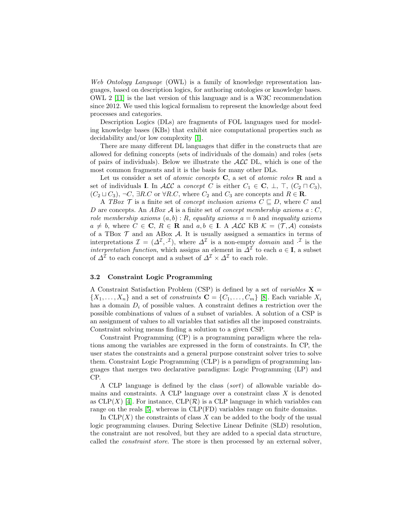Web Ontology Language (OWL) is a family of knowledge representation languages, based on description logics, for authoring ontologies or knowledge bases. OWL 2 [\[11\]](#page-14-2) is the last version of this language and is a W3C recommendation since 2012. We used this logical formalism to represent the knowledge about feed processes and categories.

Description Logics (DLs) are fragments of FOL languages used for modeling knowledge bases (KBs) that exhibit nice computational properties such as decidability and/or low complexity [\[1\]](#page-14-3).

There are many different DL languages that differ in the constructs that are allowed for defining concepts (sets of individuals of the domain) and roles (sets of pairs of individuals). Below we illustrate the  $\cal{ALC}$  DL, which is one of the most common fragments and it is the basis for many other DLs.

Let us consider a set of *atomic concepts*  $C$ , a set of *atomic roles*  $R$  and a set of individuals **I**. In  $\mathcal{ALC}$  a concept C is either  $C_1 \in \mathbf{C}, \perp, \perp, (C_2 \sqcap C_3),$  $(C_2 \sqcup C_3)$ ,  $\neg C$ ,  $\exists R.C$  or  $\forall R.C$ , where  $C_2$  and  $C_3$  are concepts and  $R \in \mathbf{R}$ .

A TBox  $\mathcal T$  is a finite set of *concept inclusion axioms*  $C \subseteq D$ , where C and D are concepts. An ABox  $\mathcal A$  is a finite set of *concept membership axioms*  $a: C$ , role membership axioms  $(a, b) : R$ , equality axioms  $a = b$  and inequality axioms  $a \neq b$ , where  $C \in \mathbf{C}$ ,  $R \in \mathbf{R}$  and  $a, b \in \mathbf{I}$ . A  $\mathcal{ALC}$  KB  $\mathcal{K} = (\mathcal{T}, \mathcal{A})$  consists of a TBox  $\mathcal T$  and an ABox  $\mathcal A$ . It is usually assigned a semantics in terms of interpretations  $\mathcal{I} = (\Delta^{\mathcal{I}}, \cdot^{\mathcal{I}})$ , where  $\Delta^{\mathcal{I}}$  is a non-empty *domain* and  $\cdot^{\mathcal{I}}$  is the *interpretation function*, which assigns an element in  $\Delta^{\mathcal{I}}$  to each  $a \in I$ , a subset of  $\Delta^{\mathcal{I}}$  to each concept and a subset of  $\Delta^{\mathcal{I}} \times \Delta^{\mathcal{I}}$  to each role.

#### 3.2 Constraint Logic Programming

A Constraint Satisfaction Problem (CSP) is defined by a set of variables  $X =$  $\{X_1, \ldots, X_n\}$  and a set of constraints  $\mathbf{C} = \{C_1, \ldots, C_m\}$  [\[8\]](#page-14-4). Each variable  $X_i$ has a domain  $D_i$  of possible values. A constraint defines a restriction over the possible combinations of values of a subset of variables. A solution of a CSP is an assignment of values to all variables that satisfies all the imposed constraints. Constraint solving means finding a solution to a given CSP.

Constraint Programming (CP) is a programming paradigm where the relations among the variables are expressed in the form of constraints. In CP, the user states the constraints and a general purpose constraint solver tries to solve them. Constraint Logic Programming (CLP) is a paradigm of programming languages that merges two declarative paradigms: Logic Programming (LP) and CP.

A CLP language is defined by the class (sort) of allowable variable domains and constraints. A CLP language over a constraint class  $X$  is denoted as  $CLP(X)$  [\[4\]](#page-14-5). For instance,  $CLP(\mathcal{R})$  is a CLP language in which variables can range on the reals [\[5\]](#page-14-6), whereas in CLP(FD) variables range on finite domains.

In  $CLP(X)$  the constraints of class X can be added to the body of the usual logic programming clauses. During Selective Linear Definite (SLD) resolution, the constraint are not resolved, but they are added to a special data structure, called the constraint store. The store is then processed by an external solver,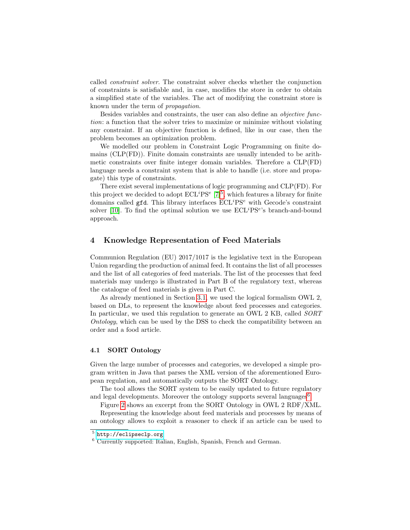called constraint solver. The constraint solver checks whether the conjunction of constraints is satisfiable and, in case, modifies the store in order to obtain a simplified state of the variables. The act of modifying the constraint store is known under the term of propagation.

Besides variables and constraints, the user can also define an objective function: a function that the solver tries to maximize or minimize without violating any constraint. If an objective function is defined, like in our case, then the problem becomes an optimization problem.

We modelled our problem in Constraint Logic Programming on finite domains (CLP(FD)). Finite domain constraints are usually intended to be arithmetic constraints over finite integer domain variables. Therefore a CLP(FD) language needs a constraint system that is able to handle (i.e. store and propagate) this type of constraints.

There exist several implementations of logic programming and CLP(FD). For this project we decided to adopt  $ECL^{i}PS^{e}$  [\[7\]](#page-14-7)<sup>[5](#page-5-1)</sup>, which features a library for finite domains called gfd. This library interfaces  $\mathrm{ECL}^i\mathrm{PS}^e$  with Gecode's constraint solver [\[10\]](#page-14-8). To find the optimal solution we use  $ECL^{i}PS^{e}$ 's branch-and-bound approach.

## <span id="page-5-0"></span>4 Knowledge Representation of Feed Materials

Communion Regulation (EU) 2017/1017 is the legislative text in the European Union regarding the production of animal feed. It contains the list of all processes and the list of all categories of feed materials. The list of the processes that feed materials may undergo is illustrated in Part B of the regulatory text, whereas the catalogue of feed materials is given in Part C.

As already mentioned in Section [3.1,](#page-3-2) we used the logical formalism OWL 2, based on DLs, to represent the knowledge about feed processes and categories. In particular, we used this regulation to generate an OWL 2 KB, called SORT Ontology, which can be used by the DSS to check the compatibility between an order and a food article.

## 4.1 SORT Ontology

Given the large number of processes and categories, we developed a simple program written in Java that parses the XML version of the aforementioned European regulation, and automatically outputs the SORT Ontology.

The tool allows the SORT system to be easily updated to future regulatory and legal developments. Moreover the ontology supports several languages<sup>[6](#page-5-2)</sup>.

Figure [2](#page-6-1) shows an excerpt from the SORT Ontology in OWL 2 RDF/XML.

Representing the knowledge about feed materials and processes by means of an ontology allows to exploit a reasoner to check if an article can be used to

<span id="page-5-1"></span> $^5$  <http://eclipseclp.org>

<span id="page-5-2"></span><sup>6</sup> Currently supported: Italian, English, Spanish, French and German.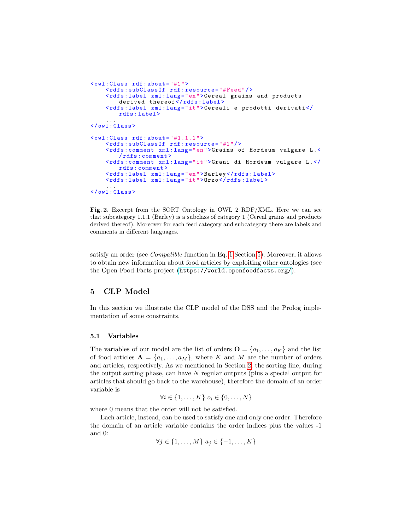```
<owl : Class rdf : about ="#1">
    <rdfs : subClassOf rdf : resource ="# Feed "/ >
    <rdfs : label xml : lang ="en">Cereal grains and products
        derived thereof </rdfs:label>
    <rdfs:label xml:lang="it">Cereali e prodotti derivati</
        rdfs : label >
     ...
</owl : Class >
<owl : Class rdf : about =" #1.1.1 ">
    <rdfs : subClassOf rdf : resource ="#1"/ >
    <rdfs : comment xml : lang ="en">Grains of Hordeum vulgare L .<
        / rdfs : comment >
    <rdfs : comment xml : lang ="it">Grani di Hordeum vulgare L .</
        rdfs : comment >
    <rdfs : label xml : lang ="en">Barley </ rdfs : label >
    <rdfs : label xml : lang ="it">Orzo </ rdfs : label >
     ...
</owl : Class >
```
<span id="page-6-1"></span>Fig. 2. Excerpt from the SORT Ontology in OWL 2 RDF/XML. Here we can see that subcategory 1.1.1 (Barley) is a subclass of category 1 (Cereal grains and products derived thereof). Moreover for each feed category and subcategory there are labels and comments in different languages.

satisfy an order (see Compatible function in Eq. [1](#page-7-0) Section [5\)](#page-6-0). Moreover, it allows to obtain new information about food articles by exploiting other ontologies (see the Open Food Facts project (<https://world.openfoodfacts.org/>).

## <span id="page-6-0"></span>5 CLP Model

In this section we illustrate the CLP model of the DSS and the Prolog implementation of some constraints.

### 5.1 Variables

The variables of our model are the list of orders  $\mathbf{O} = \{o_1, \ldots, o_K\}$  and the list of food articles  $A = \{a_1, \ldots, a_M\}$ , where K and M are the number of orders and articles, respectively. As we mentioned in Section [2,](#page-2-0) the sorting line, during the output sorting phase, can have  $N$  regular outputs (plus a special output for articles that should go back to the warehouse), therefore the domain of an order variable is

 $\forall i \in \{1, ..., K\} \ o_i \in \{0, ..., N\}$ 

where 0 means that the order will not be satisfied.

Each article, instead, can be used to satisfy one and only one order. Therefore the domain of an article variable contains the order indices plus the values -1 and 0:

$$
\forall j \in \{1, \ldots, M\} \; a_j \in \{-1, \ldots, K\}
$$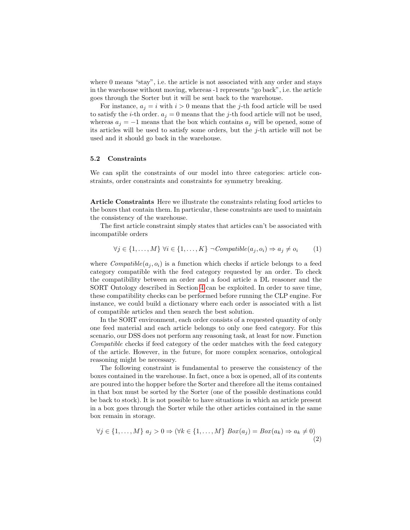where 0 means "stay", i.e. the article is not associated with any order and stays in the warehouse without moving, whereas -1 represents "go back", i.e. the article goes through the Sorter but it will be sent back to the warehouse.

For instance,  $a_j = i$  with  $i > 0$  means that the j-th food article will be used to satisfy the *i*-th order.  $a_j = 0$  means that the *j*-th food article will not be used, whereas  $a_j = -1$  means that the box which contains  $a_j$  will be opened, some of its articles will be used to satisfy some orders, but the  $j$ -th article will not be used and it should go back in the warehouse.

#### 5.2 Constraints

We can split the constraints of our model into three categories: article constraints, order constraints and constraints for symmetry breaking.

Article Constraints Here we illustrate the constraints relating food articles to the boxes that contain them. In particular, these constraints are used to maintain the consistency of the warehouse.

The first article constraint simply states that articles can't be associated with incompatible orders

<span id="page-7-0"></span>
$$
\forall j \in \{1, ..., M\} \ \forall i \in \{1, ..., K\} \ \neg Compute(a_j, o_i) \Rightarrow a_j \neq o_i \tag{1}
$$

where  $\mathit{Compatible}(a_i, o_i)$  is a function which checks if article belongs to a feed category compatible with the feed category requested by an order. To check the compatibility between an order and a food article a DL reasoner and the SORT Ontology described in Section [4](#page-5-0) can be exploited. In order to save time, these compatibility checks can be performed before running the CLP engine. For instance, we could build a dictionary where each order is associated with a list of compatible articles and then search the best solution.

In the SORT environment, each order consists of a requested quantity of only one feed material and each article belongs to only one feed category. For this scenario, our DSS does not perform any reasoning task, at least for now. Function Compatible checks if feed category of the order matches with the feed category of the article. However, in the future, for more complex scenarios, ontological reasoning might be necessary.

The following constraint is fundamental to preserve the consistency of the boxes contained in the warehouse. In fact, once a box is opened, all of its contents are poured into the hopper before the Sorter and therefore all the items contained in that box must be sorted by the Sorter (one of the possible destinations could be back to stock). It is not possible to have situations in which an article present in a box goes through the Sorter while the other articles contained in the same box remain in storage.

$$
\forall j \in \{1, ..., M\} \ a_j > 0 \Rightarrow (\forall k \in \{1, ..., M\} \ Box(a_j) = Box(a_k) \Rightarrow a_k \neq 0)
$$
\n
$$
\tag{2}
$$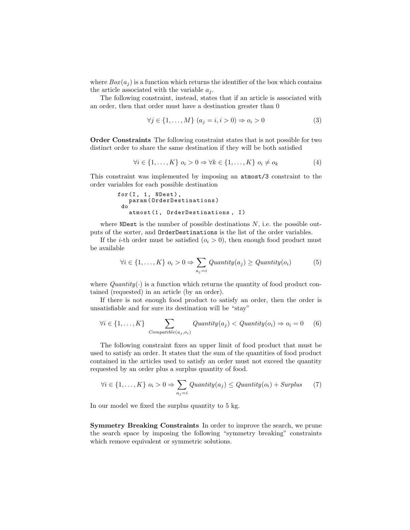where  $Box(a_i)$  is a function which returns the identifier of the box which contains the article associated with the variable  $a_i$ .

The following constraint, instead, states that if an article is associated with an order, then that order must have a destination greater than 0

$$
\forall j \in \{1, \dots, M\} \ (a_j = i, i > 0) \Rightarrow o_i > 0 \tag{3}
$$

Order Constraints The following constraint states that is not possible for two distinct order to share the same destination if they will be both satisfied

$$
\forall i \in \{1, \dots, K\} \ o_i > 0 \Rightarrow \forall k \in \{1, \dots, K\} \ o_i \neq o_k \tag{4}
$$

This constraint was implemented by imposing an atmost/3 constraint to the order variables for each possible destination

for (I , 1 , NDest ) , param ( OrderDestinations ) do atmost (1 , OrderDestinations , I )

where NDest is the number of possible destinations  $N$ , i.e. the possible outputs of the sorter, and OrderDestinations is the list of the order variables.

If the *i*-th order must be satisfied  $(o_i > 0)$ , then enough food product must be available

$$
\forall i \in \{1, ..., K\} \ o_i > 0 \Rightarrow \sum_{a_j = i} Quantity(a_j) \ge \text{Quantity}(o_i) \tag{5}
$$

where  $Quantity(\cdot)$  is a function which returns the quantity of food product contained (requested) in an article (by an order).

If there is not enough food product to satisfy an order, then the order is unsatisfiable and for sure its destination will be "stay"

$$
\forall i \in \{1, ..., K\} \sum_{Compute(a_j, o_i)} Quantity(a_j) < Quantity(o_i) \Rightarrow o_i = 0 \quad (6)
$$

The following constraint fixes an upper limit of food product that must be used to satisfy an order. It states that the sum of the quantities of food product contained in the articles used to satisfy an order must not exceed the quantity requested by an order plus a surplus quantity of food.

$$
\forall i \in \{1, ..., K\} \ o_i > 0 \Rightarrow \sum_{a_j = i} \text{Quantity}(a_j) \leq \text{Quantity}(o_i) + \text{Surplus} \tag{7}
$$

In our model we fixed the surplus quantity to 5 kg.

<span id="page-8-0"></span>Symmetry Breaking Constraints In order to improve the search, we prune the search space by imposing the following "symmetry breaking" constraints which remove equivalent or symmetric solutions.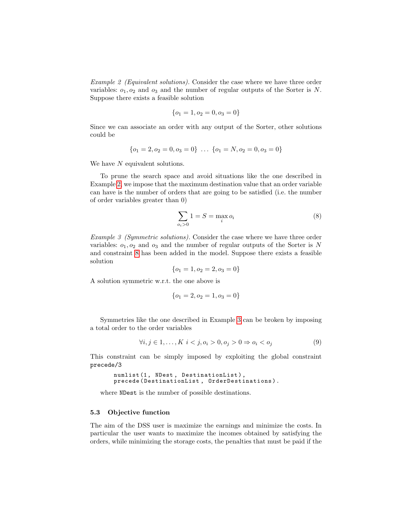Example 2 (Equivalent solutions). Consider the case where we have three order variables:  $o_1, o_2$  and  $o_3$  and the number of regular outputs of the Sorter is N. Suppose there exists a feasible solution

$$
\{o_1 = 1, o_2 = 0, o_3 = 0\}
$$

Since we can associate an order with any output of the Sorter, other solutions could be

$$
\{o_1 = 2, o_2 = 0, o_3 = 0\} \dots \{o_1 = N, o_2 = 0, o_3 = 0\}
$$

We have N equivalent solutions.

To prune the search space and avoid situations like the one described in Example [2,](#page-8-0) we impose that the maximum destination value that an order variable can have is the number of orders that are going to be satisfied (i.e. the number of order variables greater than 0)

<span id="page-9-0"></span>
$$
\sum_{o_i > 0} 1 = S = \max_i o_i \tag{8}
$$

<span id="page-9-1"></span>Example 3 (Symmetric solutions). Consider the case where we have three order variables:  $o_1$ ,  $o_2$  and  $o_3$  and the number of regular outputs of the Sorter is N and constraint [8](#page-9-0) has been added in the model. Suppose there exists a feasible solution

$$
\{o_1 = 1, o_2 = 2, o_3 = 0\}
$$

A solution symmetric w.r.t. the one above is

$$
\{o_1 = 2, o_2 = 1, o_3 = 0\}
$$

Symmetries like the one described in Example [3](#page-9-1) can be broken by imposing a total order to the order variables

$$
\forall i, j \in 1, \dots, K \ i < j, o_i > 0, o_j > 0 \Rightarrow o_i < o_j \tag{9}
$$

This constraint can be simply imposed by exploiting the global constraint precede/3

```
numlist (1 , NDest , DestinationList ) ,
precede ( DestinationList , OrderDestinations ) .
```
where NDest is the number of possible destinations.

## 5.3 Objective function

The aim of the DSS user is maximize the earnings and minimize the costs. In particular the user wants to maximize the incomes obtained by satisfying the orders, while minimizing the storage costs, the penalties that must be paid if the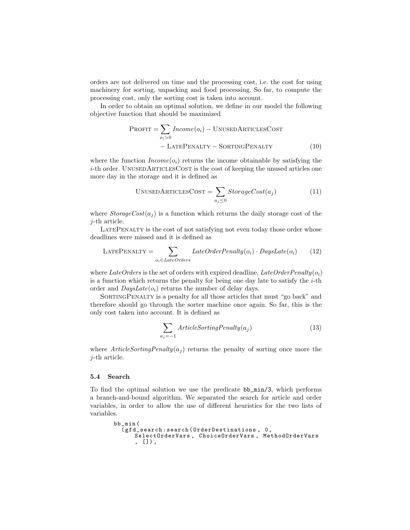orders are not delivered on time and the processing cost, i.e. the cost for using machinery for sorting, unpacking and food processing. So far, to compute the processing cost, only the sorting cost is taken into account.

In order to obtain an optimal solution, we define in our model the following objective function that should be maximized

$$
PROFIT = \sum_{o_i > 0} Income(o_i) - UNUSEDARTICLES COST - LATEPENALTY - SORTINGPENALTY
$$
 (10)

where the function  $Income(o_i)$  returns the income obtainable by satisfying the  $i$ -th order. UNUSEDARTICLESCOST is the cost of keeping the unused articles one more day in the storage and it is defined as

$$
UNUSEDARTICLES COST = \sum_{a_j \le 0} StorageCost(a_j)
$$
 (11)

where  $StorageCost(a_i)$  is a function which returns the daily storage cost of the j-th article.

LATEPENALTY is the cost of not satisfying not even today those order whose deadlines were missed and it is defined as

LATEPENALTY = 
$$
\sum_{o_i \in LateOrder} LateOrderPenalty(o_i) \cdot Days Late(o_i)
$$
 (12)

where LateOrders is the set of orders with expired deadline, LateOrderPenalty $(o_i)$ is a function which returns the penalty for being one day late to satisfy the  $i$ -th order and  $DaysLate(o_i)$  returns the number of delay days.

SortingPenalty is a penalty for all those articles that must "go back" and therefore should go through the sorter machine once again. So far, this is the only cost taken into account. It is defined as

$$
\sum_{a_j = -1} Article SortingPenalty(a_j)
$$
\n(13)

where  $Article SortingPenalty(a<sub>i</sub>)$  returns the penalty of sorting once more the j-th article.

#### 5.4 Search

To find the optimal solution we use the predicate bb\_min/3, which performs a branch-and-bound algorithm. We separated the search for article and order variables, in order to allow the use of different heuristics for the two lists of variables.

```
bb_min (
  ( gfd_search : search ( OrderDestinations , 0 ,
      SelectOrderVars , ChoiceOrderVars , MethodOrderVars
      , []) ,
```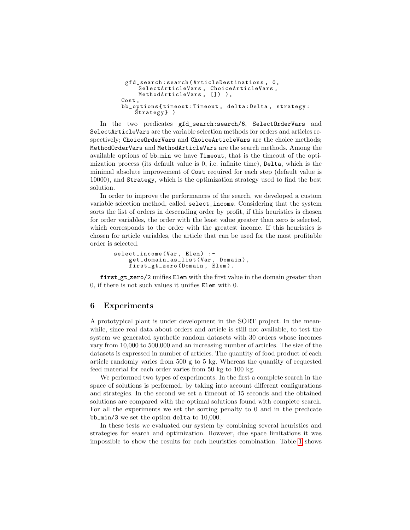```
gfd_search : search ( ArticleDestinations , 0 ,
     SelectArticleVars , ChoiceArticleVars ,
     MethodArticleVars , []) ) ,
Cost ,
bb_options { timeout : Timeout , delta : Delta , strategy :
    Strategy } )
```
In the two predicates gfd\_search:search/6, SelectOrderVars and SelectArticleVars are the variable selection methods for orders and articles respectively; ChoiceOrderVars and ChoiceArticleVars are the choice methods; MethodOrderVars and MethodArticleVars are the search methods. Among the available options of bb\_min we have Timeout, that is the timeout of the optimization process (its default value is 0, i.e. infinite time), Delta, which is the minimal absolute improvement of Cost required for each step (default value is 10000), and Strategy, which is the optimization strategy used to find the best solution.

In order to improve the performances of the search, we developed a custom variable selection method, called select\_income. Considering that the system sorts the list of orders in descending order by profit, if this heuristics is chosen for order variables, the order with the least value greater than zero is selected, which corresponds to the order with the greatest income. If this heuristics is chosen for article variables, the article that can be used for the most profitable order is selected.

```
select_income (Var, Elem) :-
    get_domain_as_list ( Var , Domain ) ,
    first_gt_zero ( Domain , Elem ) .
```
first gt zero/2 unifies Elem with the first value in the domain greater than 0, if there is not such values it unifies Elem with 0.

# <span id="page-11-0"></span>6 Experiments

A prototypical plant is under development in the SORT project. In the meanwhile, since real data about orders and article is still not available, to test the system we generated synthetic random datasets with 30 orders whose incomes vary from 10,000 to 500,000 and an increasing number of articles. The size of the datasets is expressed in number of articles. The quantity of food product of each article randomly varies from 500 g to 5 kg. Whereas the quantity of requested feed material for each order varies from 50 kg to 100 kg.

We performed two types of experiments. In the first a complete search in the space of solutions is performed, by taking into account different configurations and strategies. In the second we set a timeout of 15 seconds and the obtained solutions are compared with the optimal solutions found with complete search. For all the experiments we set the sorting penalty to 0 and in the predicate bb\_min/3 we set the option delta to 10,000.

In these tests we evaluated our system by combining several heuristics and strategies for search and optimization. However, due space limitations it was impossible to show the results for each heuristics combination. Table [1](#page-12-0) shows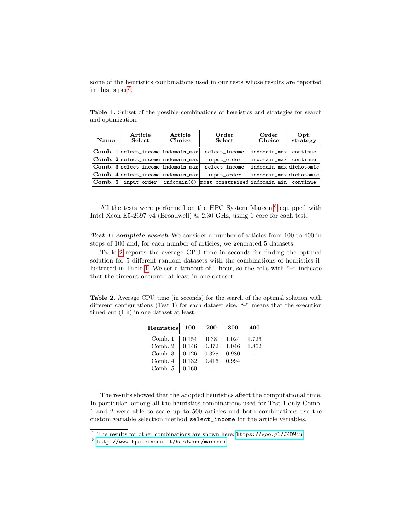some of the heuristics combinations used in our tests whose results are reported in this paper<sup>[7](#page-12-1)</sup>.

<span id="page-12-0"></span>Table 1. Subset of the possible combinations of heuristics and strategies for search and optimization.

| Name    | Article<br>Select                            | Article<br>Choice | Order<br>Select                        | Order<br>Choice         | Opt.<br>strategy |
|---------|----------------------------------------------|-------------------|----------------------------------------|-------------------------|------------------|
|         | $ {\rm Comb.~1} $ select_income indomain_max |                   | select income                          | $indomain_max$          | continue         |
|         | $ Comb. 2 select_$ income indomain_max       |                   | input_order                            | indomain_max            | continue         |
|         | $ {\rm Comb.}$ 3 select_income indomain_max  |                   | select income                          | indomain_max dichotomic |                  |
|         | $ Comb. 4 select_income indomain_max $       |                   | input_order                            | indomain_max dichotomic |                  |
| Comb. 5 | input_order                                  | indomain(0)       | most_constrained indomain_min continue |                         |                  |

All the tests were performed on the HPC System Marconi<sup>[8](#page-12-2)</sup> equipped with Intel Xeon E5-2697 v4 (Broadwell) @ 2.30 GHz, using 1 core for each test.

Test 1: complete search We consider a number of articles from 100 to 400 in steps of 100 and, for each number of articles, we generated 5 datasets.

Table [2](#page-12-3) reports the average CPU time in seconds for finding the optimal solution for 5 different random datasets with the combinations of heuristics illustrated in Table [1.](#page-12-0) We set a timeout of 1 hour, so the cells with "–" indicate that the timeout occurred at least in one dataset.

<span id="page-12-3"></span>Table 2. Average CPU time (in seconds) for the search of the optimal solution with different configurations (Test 1) for each dataset size. "-" means that the execution timed out (1 h) in one dataset at least.

| Heuristics | 100   | 200   | 300   | 400   |
|------------|-------|-------|-------|-------|
| Comb. 1    | 0.154 | 0.38  | 1.024 | 1.726 |
| Comb. $2$  | 0.146 | 0.372 | 1.046 | 1.862 |
| Comb. $3$  | 0.126 | 0.328 | 0.980 |       |
| Comb. $4$  | 0.132 | 0.416 | 0.994 |       |
| Comb. 5    | 0.160 |       |       |       |

The results showed that the adopted heuristics affect the computational time. In particular, among all the heuristics combinations used for Test 1 only Comb. 1 and 2 were able to scale up to 500 articles and both combinations use the custom variable selection method select\_income for the article variables.

<span id="page-12-1"></span><sup>7</sup> The results for other combinations are shown here: <https://goo.gl/J4DWiu>.

<span id="page-12-2"></span> $^8$  <http://www.hpc.cineca.it/hardware/marconi>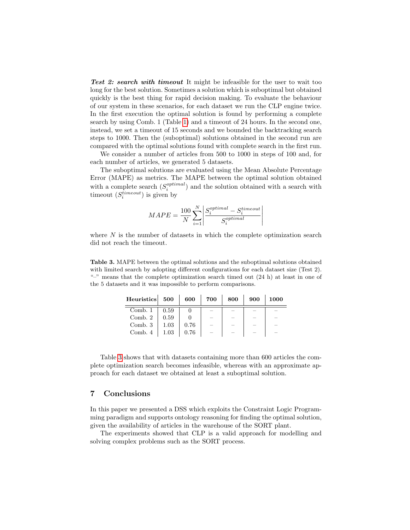**Test 2: search with timeout** It might be infeasible for the user to wait too long for the best solution. Sometimes a solution which is suboptimal but obtained quickly is the best thing for rapid decision making. To evaluate the behaviour of our system in these scenarios, for each dataset we run the CLP engine twice. In the first execution the optimal solution is found by performing a complete search by using Comb. 1 (Table [1\)](#page-12-0) and a timeout of 24 hours. In the second one, instead, we set a timeout of 15 seconds and we bounded the backtracking search steps to 1000. Then the (suboptimal) solutions obtained in the second run are compared with the optimal solutions found with complete search in the first run.

We consider a number of articles from 500 to 1000 in steps of 100 and, for each number of articles, we generated 5 datasets.

The suboptimal solutions are evaluated using the Mean Absolute Percentage Error (MAPE) as metrics. The MAPE between the optimal solution obtained with a complete search  $(S_i^{optimal})$  and the solution obtained with a search with timeout  $(S_i^{timeout})$  is given by

$$
MAPE = \frac{100}{N} \sum_{i=1}^{N} \left| \frac{S_i^{optimal} - S_i^{timeout}}{S_i^{optimal}} \right|
$$

where  $N$  is the number of datasets in which the complete optimization search did not reach the timeout.

<span id="page-13-1"></span>Table 3. MAPE between the optimal solutions and the suboptimal solutions obtained with limited search by adopting different configurations for each dataset size (Test 2). "-" means that the complete optimization search timed out  $(24 h)$  at least in one of the 5 datasets and it was impossible to perform comparisons.

| Heuristics | 500  | 600  | 700                      | 800                             | 900                      | 1000 |
|------------|------|------|--------------------------|---------------------------------|--------------------------|------|
| Comb. 1    | 0.59 |      | -                        | -                               | -                        |      |
| Comb. $2$  | 0.59 |      | $\overline{\phantom{0}}$ | $\overline{\phantom{0}}$        |                          |      |
| Comb. 3    | 1.03 | 0.76 | $\overline{\phantom{0}}$ | $\overline{\phantom{0}}$        | $\overline{\phantom{a}}$ |      |
| Comb. $4$  | 1.03 | 0.76 | -                        | $\hspace{0.1mm}-\hspace{0.1mm}$ | _                        |      |

Table [3](#page-13-1) shows that with datasets containing more than 600 articles the complete optimization search becomes infeasible, whereas with an approximate approach for each dataset we obtained at least a suboptimal solution.

# <span id="page-13-0"></span>7 Conclusions

In this paper we presented a DSS which exploits the Constraint Logic Programming paradigm and supports ontology reasoning for finding the optimal solution, given the availability of articles in the warehouse of the SORT plant.

The experiments showed that CLP is a valid approach for modelling and solving complex problems such as the SORT process.